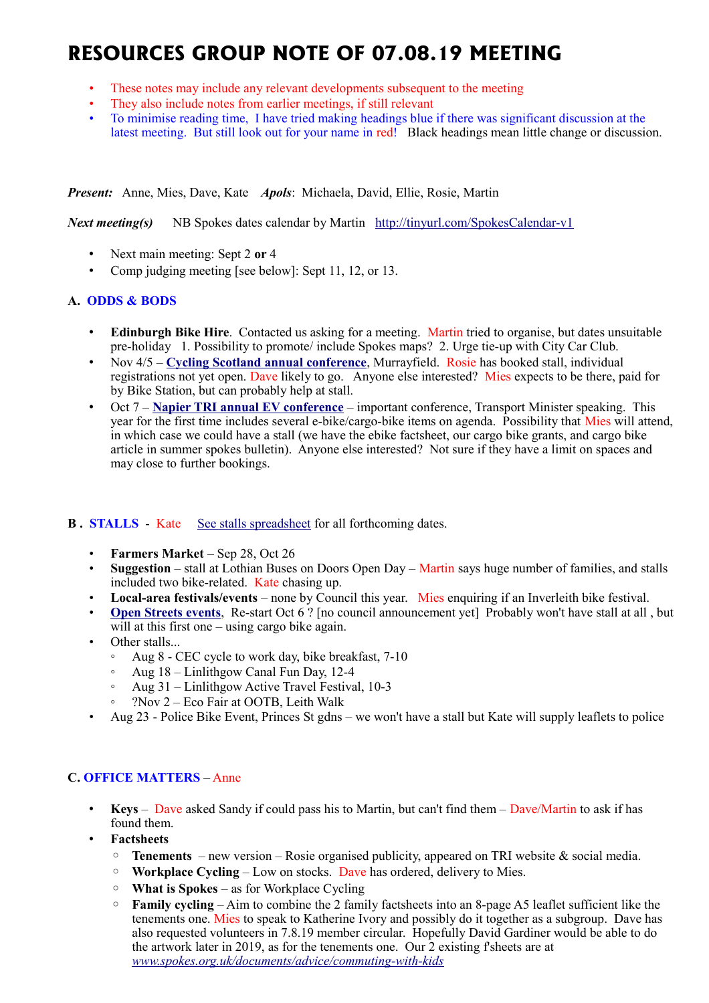# **RESOURCES GROUP NOTE OF 07.08.19 MEETING**

- These notes may include any relevant developments subsequent to the meeting
- They also include notes from earlier meetings, if still relevant
- To minimise reading time, I have tried making headings blue if there was significant discussion at the latest meeting. But still look out for your name in red! Black headings mean little change or discussion.

*Present:* Anne, Mies, Dave, Kate *Apols*: Michaela, David, Ellie, Rosie, Martin

*Next meeting(s)*NB Spokes dates calendar by Martin <http://tinyurl.com/SpokesCalendar-v1>

- Next main meeting: Sept 2 **or** 4
- Comp judging meeting [see below]: Sept 11, 12, or 13.

## **A. ODDS & BODS**

- **Edinburgh Bike Hire**. Contacted us asking for a meeting. Martin tried to organise, but dates unsuitable pre-holiday 1. Possibility to promote/ include Spokes maps? 2. Urge tie-up with City Car Club.
- Nov 4/5 [Cycling Scotland annual conference](https://www.cycling.scot/cycling-scotland-conference), Murrayfield. Rosie has booked stall, individual registrations not yet open. Dave likely to go. Anyone else interested? Mies expects to be there, paid for by Bike Station, but can probably help at stall.
- Oct 7 **[Napier TRI annual EV conference](https://blogs.napier.ac.uk/tri/event/tris-5th-annual-electric-vehicle-event/)** important conference, Transport Minister speaking. This year for the first time includes several e-bike/cargo-bike items on agenda. Possibility that Mies will attend, in which case we could have a stall (we have the ebike factsheet, our cargo bike grants, and cargo bike article in summer spokes bulletin). Anyone else interested? Not sure if they have a limit on spaces and may close to further bookings.

## **B. STALLS** - Kate [See stalls spreadsheet](https://docs.google.com/spreadsheets/d/1ixmHbC_ROc0P1GdGfFFx5hFzYwe4wZuTg5QcqDY7yWQ/edit?usp=drivesdk) for all forthcoming dates.

- **Farmers Market** Sep 28, Oct 26
- **Suggestion** stall at Lothian Buses on Doors Open Day Martin says huge number of families, and stalls included two bike-related. Kate chasing up.
- **Local-area festivals/events** none by Council this year. Mies enquiring if an Inverleith bike festival.
- **[Open Streets events](http://www.edinburgh.gov.uk/connectingplaces/info/9/consultation/20/open_streets_consultation)**, Re-start Oct 6 ? [no council announcement yet] Probably won't have stall at all , but will at this first one – using cargo bike again.
- Other stalls...
	- Aug 8 CEC cycle to work day, bike breakfast, 7-10
	- Aug 18 Linlithgow Canal Fun Day, 12-4
	- Aug 31 Linlithgow Active Travel Festival, 10-3
	- ?Nov 2 Eco Fair at OOTB, Leith Walk
- Aug 23 Police Bike Event, Princes St gdns we won't have a stall but Kate will supply leaflets to police

## **C. OFFICE MATTERS** – Anne

- **Keys** Dave asked Sandy if could pass his to Martin, but can't find them Dave/Martin to ask if has found them.
- **Factsheets**
	- **Tenements** new version Rosie organised publicity, appeared on TRI website & social media.
	- **Workplace Cycling** Low on stocks. Dave has ordered, delivery to Mies.
	- **What is Spokes** as for Workplace Cycling
	- **Family cycling** Aim to combine the 2 family factsheets into an 8-page A5 leaflet sufficient like the tenements one. Mies to speak to Katherine Ivory and possibly do it together as a subgroup. Dave has also requested volunteers in 7.8.19 member circular. Hopefully David Gardiner would be able to do the artwork later in 2019, as for the tenements one. Our 2 existing f'sheets are at *[www.spokes.org.uk/documents/advice/commuting-with-kids](http://www.spokes.org.uk/documents/advice/commuting-with-kids)*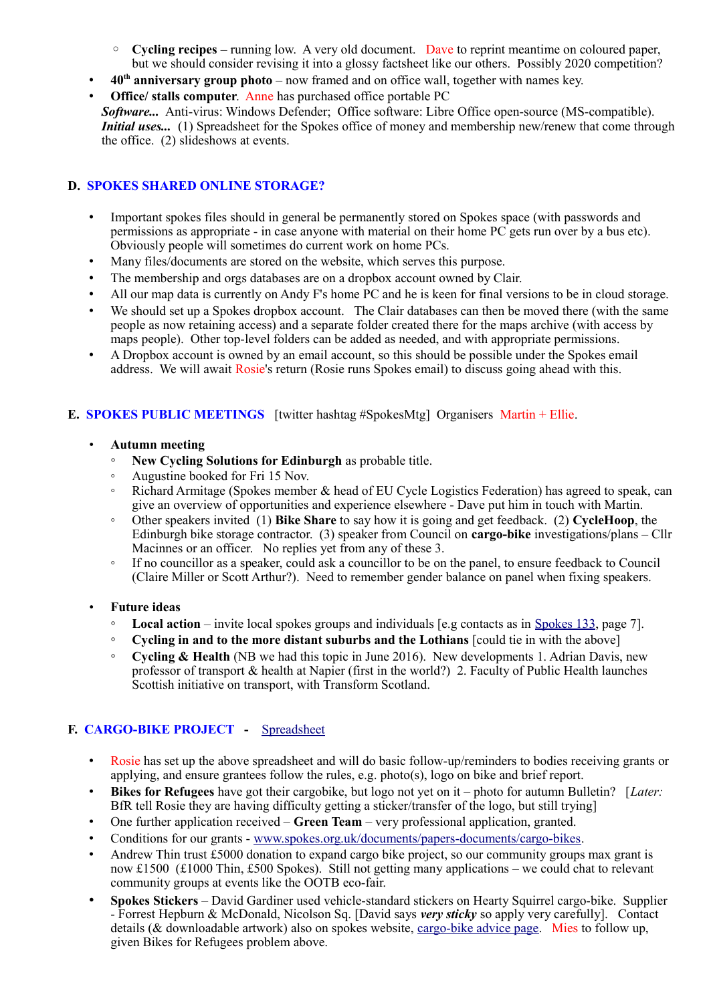- **Cycling recipes** running low. A very old document. Dave to reprint meantime on coloured paper, but we should consider revising it into a glossy factsheet like our others. Possibly 2020 competition?
- **40th anniversary group photo** now framed and on office wall, together with names key.
- **Office/ stalls computer**. Anne has purchased office portable PC
- *Software...* Anti-virus: Windows Defender; Office software: Libre Office open-source (MS-compatible). *Initial uses...* (1) Spreadsheet for the Spokes office of money and membership new/renew that come through the office. (2) slideshows at events.

## **D. SPOKES SHARED ONLINE STORAGE?**

- Important spokes files should in general be permanently stored on Spokes space (with passwords and permissions as appropriate - in case anyone with material on their home PC gets run over by a bus etc). Obviously people will sometimes do current work on home PCs.
- Many files/documents are stored on the website, which serves this purpose.
- The membership and orgs databases are on a dropbox account owned by Clair.
- All our map data is currently on Andy F's home PC and he is keen for final versions to be in cloud storage.
- We should set up a Spokes dropbox account. The Clair databases can then be moved there (with the same people as now retaining access) and a separate folder created there for the maps archive (with access by maps people). Other top-level folders can be added as needed, and with appropriate permissions.
- A Dropbox account is owned by an email account, so this should be possible under the Spokes email address. We will await Rosie's return (Rosie runs Spokes email) to discuss going ahead with this.

## **E. SPOKES PUBLIC MEETINGS** [twitter hashtag #SpokesMtg] Organisers Martin + Ellie.

- **Autumn meeting**
	- **New Cycling Solutions for Edinburgh** as probable title.
	- Augustine booked for Fri 15 Nov.
	- Richard Armitage (Spokes member & head of EU Cycle Logistics Federation) has agreed to speak, can give an overview of opportunities and experience elsewhere - Dave put him in touch with Martin.
	- Other speakers invited (1) **Bike Share** to say how it is going and get feedback. (2) **CycleHoop**, the Edinburgh bike storage contractor. (3) speaker from Council on **cargo-bike** investigations/plans – Cllr Macinnes or an officer. No replies yet from any of these 3.
	- If no councillor as a speaker, could ask a councillor to be on the panel, to ensure feedback to Council (Claire Miller or Scott Arthur?). Need to remember gender balance on panel when fixing speakers.
- **Future ideas**
	- **Local action** invite local spokes groups and individuals [e.g contacts as in [Spokes 133,](http://www.spokes.org.uk/wp-content/uploads/2019/02/pall-at-95.pdf) page 7].
	- **Cycling in and to the more distant suburbs and the Lothians** [could tie in with the above]
	- **Cycling & Health** (NB we had this topic in June 2016). New developments 1. Adrian Davis, new professor of transport & health at Napier (first in the world?) 2. Faculty of Public Health launches Scottish initiative on transport, with Transform Scotland.

## **F. CARGO-BIKE PROJECT -** [Spreadsheet](https://drive.google.com/drive/folders/1BuWIrWRXwrDyFuw-nDA8n9ms37oAeKwH)

- Rosie has set up the above spreadsheet and will do basic follow-up/reminders to bodies receiving grants or applying, and ensure grantees follow the rules, e.g. photo(s), logo on bike and brief report.
- **Bikes for Refugees** have got their cargobike, but logo not yet on it photo for autumn Bulletin? [*Later:* BfR tell Rosie they are having difficulty getting a sticker/transfer of the logo, but still trying]
- One further application received **Green Team** very professional application, granted.
- Conditions for our grants - [www.spokes.org.uk/documents/papers-documents/cargo-bikes.](http://www.spokes.org.uk/documents/papers-documents/cargo-bikes)
- Andrew Thin trust £5000 donation to expand cargo bike project, so our community groups max grant is now £1500 (£1000 Thin, £500 Spokes). Still not getting many applications – we could chat to relevant community groups at events like the OOTB eco-fair.
- **Spokes Stickers** David Gardiner used vehicle-standard stickers on Hearty Squirrel cargo-bike. Supplier - Forrest Hepburn & McDonald, Nicolson Sq. [David says *very sticky* so apply very carefully]. Contact details (& downloadable artwork) also on spokes website, [cargo-bike advice page.](http://www.spokes.org.uk/documents/advice/cargo-bikes/) Mies to follow up, given Bikes for Refugees problem above.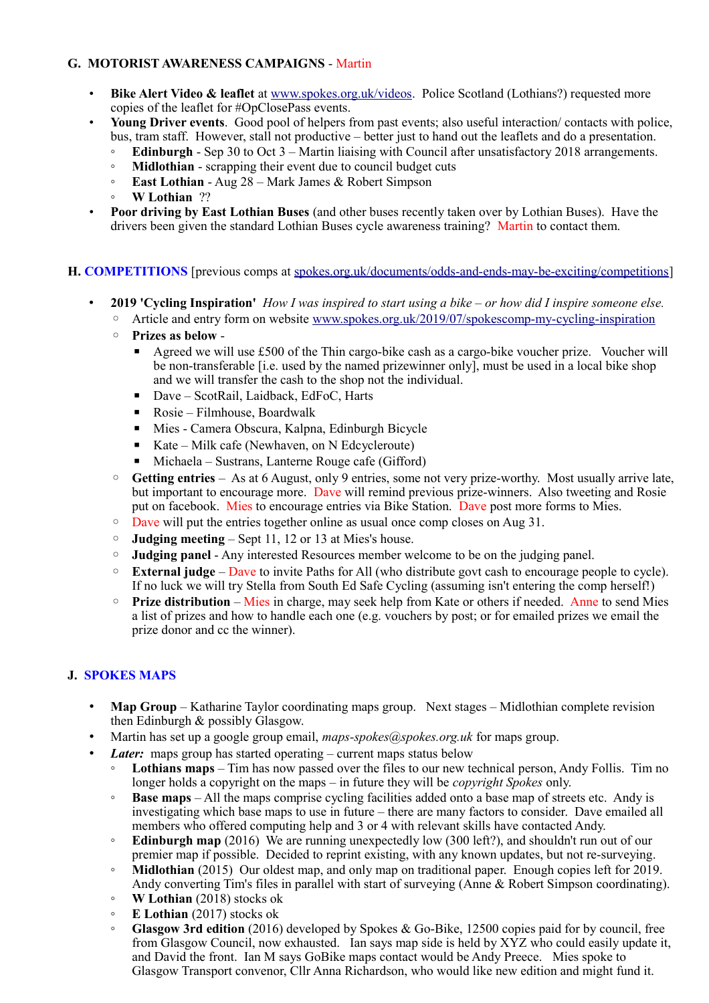## **G. MOTORIST AWARENESS CAMPAIGNS** - Martin

- **Bike Alert Video & leaflet** at [www.spokes.org.uk/videos.](http://www.spokes.org.uk/videos) Police Scotland (Lothians?) requested more copies of the leaflet for #OpClosePass events.
- **Young Driver events**. Good pool of helpers from past events; also useful interaction/ contacts with police, bus, tram staff. However, stall not productive – better just to hand out the leaflets and do a presentation.
	- **Edinburgh** Sep 30 to Oct 3 Martin liaising with Council after unsatisfactory 2018 arrangements.
	- **Midlothian** scrapping their event due to council budget cuts
	- **East Lothian** Aug 28 Mark James & Robert Simpson
	- **W Lothian** ??
- **Poor driving by East Lothian Buses** (and other buses recently taken over by Lothian Buses). Have the drivers been given the standard Lothian Buses cycle awareness training? Martin to contact them.

#### **H. COMPETITIONS** [previous comps at [spokes.org.uk/documents/odds-and-ends-may-be-exciting/competitions\]](http://www.spokes.org.uk/documents/odds-and-ends-may-be-exciting/competitions/)

- **2019 'Cycling Inspiration'** *How I was inspired to start using a bike or how did I inspire someone else.* 
	- Article and entry form on website [www.spokes.org.uk/2019/07/spokescomp-my-cycling-inspiration](http://www.spokes.org.uk/2019/07/spokescomp-my-cycling-inspiration/)
	- **Prizes as below**
		- Agreed we will use £500 of the Thin cargo-bike cash as a cargo-bike voucher prize. Voucher will be non-transferable [i.e. used by the named prizewinner only], must be used in a local bike shop and we will transfer the cash to the shop not the individual.
		- Dave ScotRail, Laidback, EdFoC, Harts
		- Rosie Filmhouse, Boardwalk
		- Mies Camera Obscura, Kalpna, Edinburgh Bicycle
		- Kate Milk cafe (Newhaven, on N Edcycleroute)
		- Michaela Sustrans, Lanterne Rouge cafe (Gifford)
	- **Getting entries** As at 6 August, only 9 entries, some not very prize-worthy. Most usually arrive late, but important to encourage more. Dave will remind previous prize-winners. Also tweeting and Rosie put on facebook. Mies to encourage entries via Bike Station. Dave post more forms to Mies.
	- Dave will put the entries together online as usual once comp closes on Aug 31.
	- **Judging meeting** Sept 11, 12 or 13 at Mies's house.
	- **Judging panel** Any interested Resources member welcome to be on the judging panel.
	- **External judge** Dave to invite Paths for All (who distribute govt cash to encourage people to cycle). If no luck we will try Stella from South Ed Safe Cycling (assuming isn't entering the comp herself!)
	- **Prize distribution** Mies in charge, may seek help from Kate or others if needed. Anne to send Mies a list of prizes and how to handle each one (e.g. vouchers by post; or for emailed prizes we email the prize donor and cc the winner).

## **J. SPOKES MAPS**

- **Map Group** Katharine Taylor coordinating maps group. Next stages Midlothian complete revision then Edinburgh & possibly Glasgow.
- Martin has set up a google group email, *maps-spokes@spokes.org.uk* for maps group.
- *Later:* maps group has started operating current maps status below
	- **Lothians maps** Tim has now passed over the files to our new technical person, Andy Follis. Tim no longer holds a copyright on the maps – in future they will be *copyright Spokes* only.
	- **Base maps** All the maps comprise cycling facilities added onto a base map of streets etc. Andy is investigating which base maps to use in future – there are many factors to consider. Dave emailed all members who offered computing help and 3 or 4 with relevant skills have contacted Andy.
	- **Edinburgh map** (2016) We are running unexpectedly low (300 left?), and shouldn't run out of our premier map if possible. Decided to reprint existing, with any known updates, but not re-surveying.
	- **Midlothian** (2015) Our oldest map, and only map on traditional paper. Enough copies left for 2019.
	- Andy converting Tim's files in parallel with start of surveying (Anne & Robert Simpson coordinating). ◦ **W Lothian** (2018) stocks ok
	- **E Lothian** (2017) stocks ok
	- **Glasgow 3rd edition** (2016) developed by Spokes & Go-Bike, 12500 copies paid for by council, free from Glasgow Council, now exhausted. Ian says map side is held by XYZ who could easily update it, and David the front. Ian M says GoBike maps contact would be Andy Preece. Mies spoke to Glasgow Transport convenor, Cllr Anna Richardson, who would like new edition and might fund it.